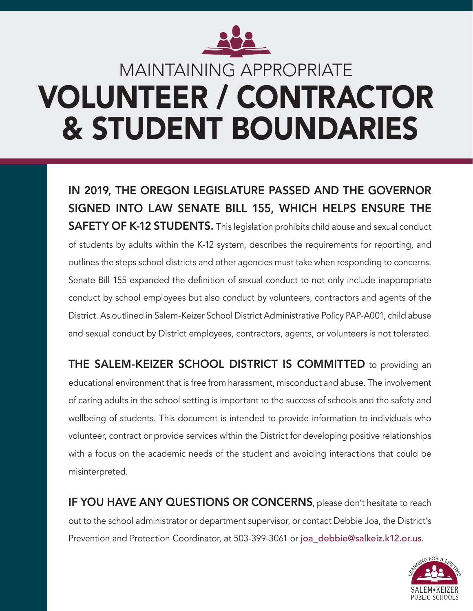

### MAINTAINING APPROPRIATE VOLUNTEER / CONTRACTOR & STUDENT BOUNDARIES

IN 2019, THE OREGON LEGISLATURE PASSED AND THE GOVERNOR SIGNED INTO LAW SENATE BILL 155, WHICH HELPS ENSURE THE SAFETY OF K-12 STUDENTS. This legislation prohibits child abuse and sexual conduct of students by adults within the K-12 system, describes the requirements for reporting, and outlines the steps school districts and other agencies must take when responding to concerns. Senate Bill 155 expanded the definition of sexual conduct to not only include inappropriate conduct by school employees but also conduct by volunteers, contractors and agents of the District. As outlined in Salem-Keizer School District Administrative Policy PAP-A001, child abuse and sexual conduct by District employees, contractors, agents, or volunteers is not tolerated.

THE SALEM-KEIZER SCHOOL DISTRICT IS COMMITTED to providing an educational environment that is free from harassment, misconduct and abuse. The involvement of caring adults in the school setting is important to the success of schools and the safety and wellbeing of students. This document is intended to provide information to individuals who volunteer, contract or provide services within the District for developing positive relationships with a focus on the academic needs of the student and avoiding interactions that could be misinterpreted.

IF YOU HAVE ANY QUESTIONS OR CONCERNS, please don't hesitate to reach out to the school administrator or department supervisor, or contact Debbie Joa, the District's Prevention and Protection Coordinator, at 503-399-3061 or [joa\\_debbie@salkeiz.k12.or.us](mailto:joa_debbie%40salkeiz.k12.or.us?subject=).

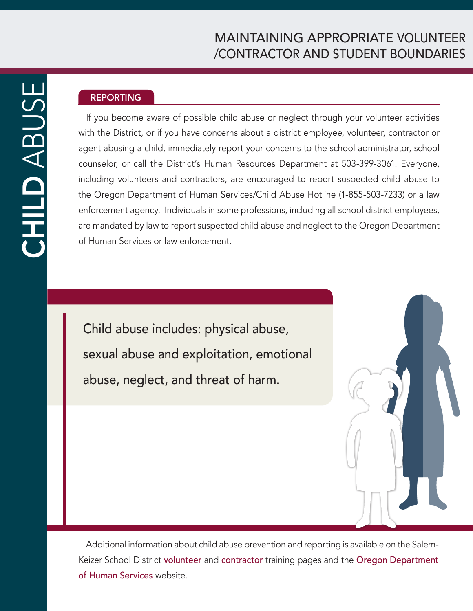#### MAINTAINING APPROPRIATE VOLUNTEER /CONTRACTOR AND STUDENT BOUNDARIES

#### REPORTING

If you become aware of possible child abuse or neglect through your volunteer activities with the District, or if you have concerns about a district employee, volunteer, contractor or agent abusing a child, immediately report your concerns to the school administrator, school counselor, or call the District's Human Resources Department at 503-399-3061. Everyone, including volunteers and contractors, are encouraged to report suspected child abuse to the Oregon Department of Human Services/Child Abuse Hotline (1-855-503-7233) or a law enforcement agency. Individuals in some professions, including all school district employees, are mandated by law to report suspected child abuse and neglect to the Oregon Department of Human Services or law enforcement.

Child abuse includes: physical abuse, sexual abuse and exploitation, emotional abuse, neglect, and threat of harm.

Additional information about child abuse prevention and reporting is available on the Salem-Keizer School District [volunteer](https://salkeiz.k12.or.us/volunteering/) and [contractor](https://salkeiz.k12.or.us/contractor-fingerprinting-and-training/) training pages and the [Oregon Department](https://www.oregon.gov/dhs/ABUSE/Pages/mandatory_report.aspx) [of Human Services](https://www.oregon.gov/dhs/ABUSE/Pages/mandatory_report.aspx) website.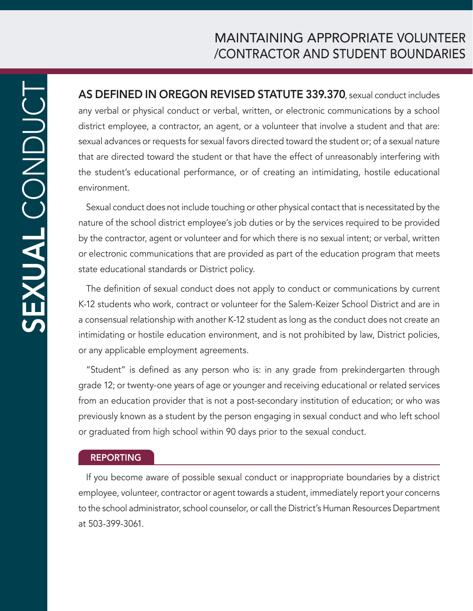#### MAINTAINING APPROPRIATE VOLUNTEER /CONTRACTOR AND STUDENT BOUNDARIES

SEXUAL CONDUCT **SEXUAL CONDUCT** 

AS DEFINED IN OREGON REVISED STATUTE 339.370, sexual conduct includes any verbal or physical conduct or verbal, written, or electronic communications by a school district employee, a contractor, an agent, or a volunteer that involve a student and that are: sexual advances or requests for sexual favors directed toward the student or; of a sexual nature that are directed toward the student or that have the effect of unreasonably interfering with the student's educational performance, or of creating an intimidating, hostile educational environment.

Sexual conduct does not include touching or other physical contact that is necessitated by the nature of the school district employee's job duties or by the services required to be provided by the contractor, agent or volunteer and for which there is no sexual intent; or verbal, written or electronic communications that are provided as part of the education program that meets state educational standards or District policy.

The definition of sexual conduct does not apply to conduct or communications by current K-12 students who work, contract or volunteer for the Salem-Keizer School District and are in a consensual relationship with another K-12 student as long as the conduct does not create an intimidating or hostile education environment, and is not prohibited by law, District policies, or any applicable employment agreements.

"Student" is defined as any person who is: in any grade from prekindergarten through grade 12; or twenty-one years of age or younger and receiving educational or related services from an education provider that is not a post-secondary institution of education; or who was previously known as a student by the person engaging in sexual conduct and who left school or graduated from high school within 90 days prior to the sexual conduct.

#### REPORTING

If you become aware of possible sexual conduct or inappropriate boundaries by a district employee, volunteer, contractor or agent towards a student, immediately report your concerns to the school administrator, school counselor, or call the District's Human Resources Department at 503-399-3061.